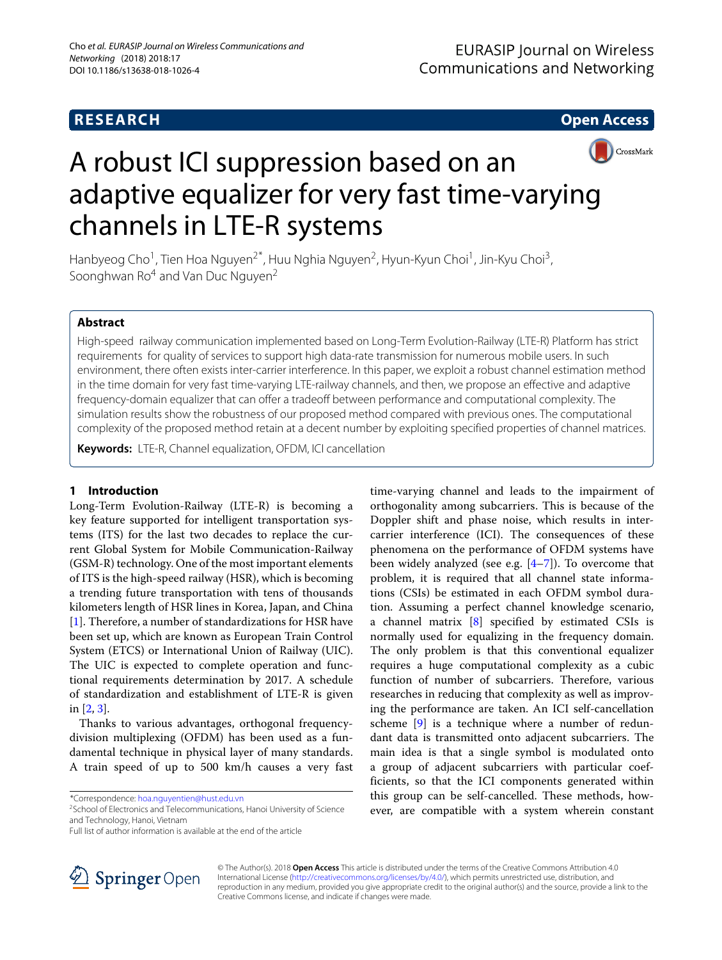**RESEARCH Open Access**



# A robust ICI suppression based on an adaptive equalizer for very fast time-varying channels in LTE-R systems

Hanbyeog Cho<sup>1</sup>, Tien Hoa Nguyen<sup>2\*</sup>, Huu Nghia Nguyen<sup>2</sup>, Hyun-Kyun Choi<sup>1</sup>, Jin-Kyu Choi<sup>3</sup>, Soonghwan  $Ro^4$  and Van Duc Nguyen<sup>2</sup>

### **Abstract**

High-speed railway communication implemented based on Long-Term Evolution-Railway (LTE-R) Platform has strict requirements for quality of services to support high data-rate transmission for numerous mobile users. In such environment, there often exists inter-carrier interference. In this paper, we exploit a robust channel estimation method in the time domain for very fast time-varying LTE-railway channels, and then, we propose an effective and adaptive frequency-domain equalizer that can offer a tradeoff between performance and computational complexity. The simulation results show the robustness of our proposed method compared with previous ones. The computational complexity of the proposed method retain at a decent number by exploiting specified properties of channel matrices.

**Keywords:** LTE-R, Channel equalization, OFDM, ICI cancellation

### **1 Introduction**

Long-Term Evolution-Railway (LTE-R) is becoming a key feature supported for intelligent transportation systems (ITS) for the last two decades to replace the current Global System for Mobile Communication-Railway (GSM-R) technology. One of the most important elements of ITS is the high-speed railway (HSR), which is becoming a trending future transportation with tens of thousands kilometers length of HSR lines in Korea, Japan, and China [\[1\]](#page-5-0). Therefore, a number of standardizations for HSR have been set up, which are known as European Train Control System (ETCS) or International Union of Railway (UIC). The UIC is expected to complete operation and functional requirements determination by 2017. A schedule of standardization and establishment of LTE-R is given in [\[2,](#page-5-1) [3\]](#page-5-2).

Thanks to various advantages, orthogonal frequencydivision multiplexing (OFDM) has been used as a fundamental technique in physical layer of many standards. A train speed of up to 500 km/h causes a very fast

\*Correspondence: [hoa.nguyentien@hust.edu.vn](mailto: hoa.nguyentien@hust.edu.vn)

<sup>2</sup>School of Electronics and Telecommunications, Hanoi University of Science and Technology, Hanoi, Vietnam





© The Author(s). 2018 **Open Access** This article is distributed under the terms of the Creative Commons Attribution 4.0 International License [\(http://creativecommons.org/licenses/by/4.0/\)](http://creativecommons.org/licenses/by/4.0/), which permits unrestricted use, distribution, and reproduction in any medium, provided you give appropriate credit to the original author(s) and the source, provide a link to the Creative Commons license, and indicate if changes were made.

Full list of author information is available at the end of the article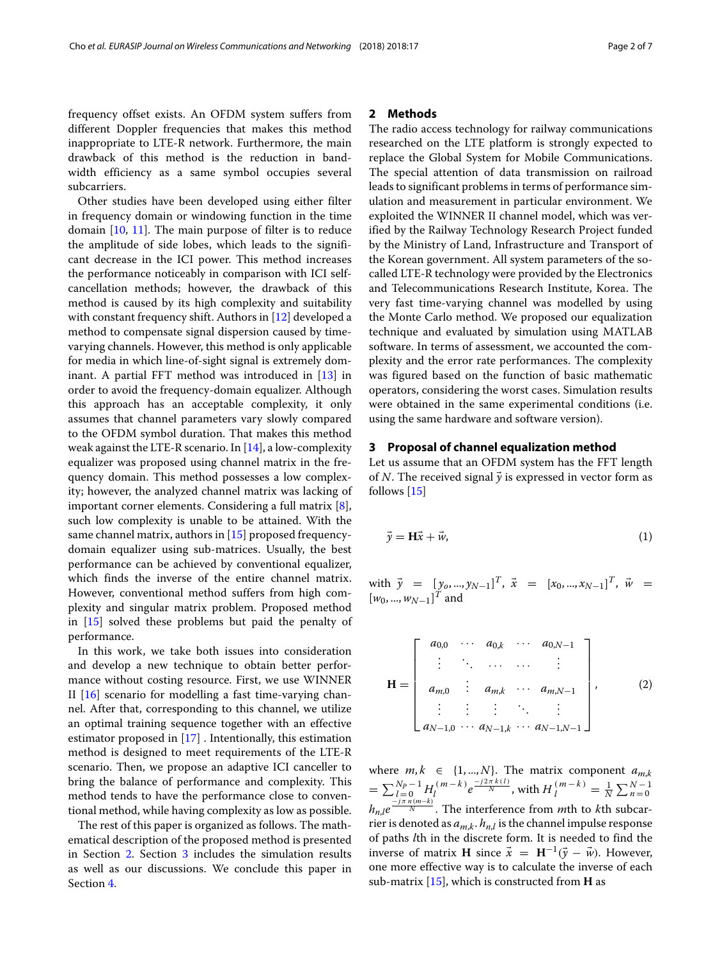frequency offset exists. An OFDM system suffers from different Doppler frequencies that makes this method inappropriate to LTE-R network. Furthermore, the main drawback of this method is the reduction in bandwidth efficiency as a same symbol occupies several subcarriers.

Other studies have been developed using either filter in frequency domain or windowing function in the time domain [\[10,](#page-6-2) [11\]](#page-6-3). The main purpose of filter is to reduce the amplitude of side lobes, which leads to the significant decrease in the ICI power. This method increases the performance noticeably in comparison with ICI selfcancellation methods; however, the drawback of this method is caused by its high complexity and suitability with constant frequency shift. Authors in [\[12\]](#page-6-4) developed a method to compensate signal dispersion caused by timevarying channels. However, this method is only applicable for media in which line-of-sight signal is extremely dominant. A partial FFT method was introduced in [\[13\]](#page-6-5) in order to avoid the frequency-domain equalizer. Although this approach has an acceptable complexity, it only assumes that channel parameters vary slowly compared to the OFDM symbol duration. That makes this method weak against the LTE-R scenario. In  $[14]$ , a low-complexity equalizer was proposed using channel matrix in the frequency domain. This method possesses a low complexity; however, the analyzed channel matrix was lacking of important corner elements. Considering a full matrix [\[8\]](#page-6-0), such low complexity is unable to be attained. With the same channel matrix, authors in [\[15\]](#page-6-7) proposed frequencydomain equalizer using sub-matrices. Usually, the best performance can be achieved by conventional equalizer, which finds the inverse of the entire channel matrix. However, conventional method suffers from high complexity and singular matrix problem. Proposed method in [\[15\]](#page-6-7) solved these problems but paid the penalty of performance.

In this work, we take both issues into consideration and develop a new technique to obtain better performance without costing resource. First, we use WINNER II [\[16\]](#page-6-8) scenario for modelling a fast time-varying channel. After that, corresponding to this channel, we utilize an optimal training sequence together with an effective estimator proposed in [\[17\]](#page-6-9) . Intentionally, this estimation method is designed to meet requirements of the LTE-R scenario. Then, we propose an adaptive ICI canceller to bring the balance of performance and complexity. This method tends to have the performance close to conventional method, while having complexity as low as possible.

The rest of this paper is organized as follows. The mathematical description of the proposed method is presented in Section [2.](#page-1-0) Section [3](#page-1-1) includes the simulation results as well as our discussions. We conclude this paper in Section [4.](#page-3-0)

#### <span id="page-1-0"></span>**2 Methods**

The radio access technology for railway communications researched on the LTE platform is strongly expected to replace the Global System for Mobile Communications. The special attention of data transmission on railroad leads to significant problems in terms of performance simulation and measurement in particular environment. We exploited the WINNER II channel model, which was verified by the Railway Technology Research Project funded by the Ministry of Land, Infrastructure and Transport of the Korean government. All system parameters of the socalled LTE-R technology were provided by the Electronics and Telecommunications Research Institute, Korea. The very fast time-varying channel was modelled by using the Monte Carlo method. We proposed our equalization technique and evaluated by simulation using MATLAB software. In terms of assessment, we accounted the complexity and the error rate performances. The complexity was figured based on the function of basic mathematic operators, considering the worst cases. Simulation results were obtained in the same experimental conditions (i.e. using the same hardware and software version).

#### <span id="page-1-1"></span>**3 Proposal of channel equalization method**

Let us assume that an OFDM system has the FFT length of N. The received signal  $\vec{y}$  is expressed in vector form as follows [\[15\]](#page-6-7)

$$
\vec{y} = H\vec{x} + \vec{w},\tag{1}
$$

with  $\vec{y} = [y_0, ..., y_{N-1}]^T$ ,  $\vec{x} = [x_0, ..., x_{N-1}]^T$ ,  $\vec{w} =$  $[w_0, ..., w_{N-1}]^T$  and

$$
\mathbf{H} = \begin{bmatrix} a_{0,0} & \cdots & a_{0,k} & \cdots & a_{0,N-1} \\ \vdots & \ddots & \cdots & \cdots & \vdots \\ a_{m,0} & \vdots & a_{m,k} & \cdots & a_{m,N-1} \\ \vdots & \vdots & \vdots & \ddots & \vdots \\ a_{N-1,0} & \cdots & a_{N-1,k} & \cdots & a_{N-1,N-1} \end{bmatrix},
$$
 (2)

where  $m, k \in \{1, ..., N\}$ . The matrix component  $a_{m,k}$  $=\sum_{l=n}^{N_P-1} H_l^{(m-k)} e^{\frac{-j2\pi k(l)}{N}}$ , with  $H_l^{(m-k)} = \frac{1}{N} \sum_{n=0}^{N-1} h_l^{(m-k)}$  $h_{n,l}e^{\frac{-j\pi n(m-k)}{N}}$ . The interference from *m*th to *k*th subcarrier is denoted as  $a_{mk}$ .  $h_{nl}$  is the channel impulse response of paths *l*th in the discrete form. It is needed to find the inverse of matrix **H** since  $\vec{x} = \mathbf{H}^{-1}(\vec{y} - \vec{w})$ . However, one more effective way is to calculate the inverse of each sub-matrix [\[15\]](#page-6-7), which is constructed from **H** as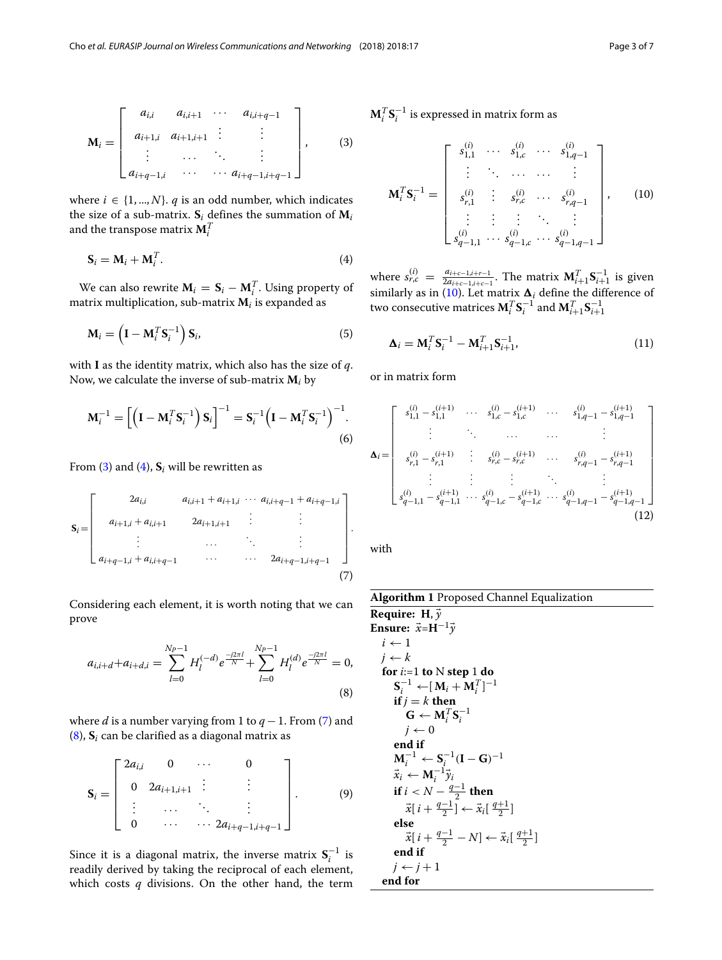$$
\mathbf{M}_{i} = \begin{bmatrix} a_{i,i} & a_{i,i+1} & \cdots & a_{i,i+q-1} \\ a_{i+1,i} & a_{i+1,i+1} & \vdots & \vdots & \vdots \\ \vdots & \cdots & \ddots & \vdots & \vdots \\ a_{i+q-1,i} & \cdots & \cdots & a_{i+q-1,i+q-1} \end{bmatrix}, \quad (3)
$$

where  $i \in \{1, ..., N\}$ . *q* is an odd number, which indicates the size of a sub-matrix.  $S_i$  defines the summation of  $M_i$ and the transpose matrix  $\mathbf{M}^T_i$ 

<span id="page-2-1"></span>
$$
\mathbf{S}_i = \mathbf{M}_i + \mathbf{M}_i^T. \tag{4}
$$

We can also rewrite  $\mathbf{M}_i = \mathbf{S}_i - \mathbf{M}_i^T$ . Using property of matrix multiplication, sub-matrix **M***<sup>i</sup>* is expanded as

$$
\mathbf{M}_{i} = \left(\mathbf{I} - \mathbf{M}_{i}^{T} \mathbf{S}_{i}^{-1}\right) \mathbf{S}_{i},\tag{5}
$$

with **I** as the identity matrix, which also has the size of *q*. Now, we calculate the inverse of sub-matrix **M***<sup>i</sup>* by

$$
\mathbf{M}_i^{-1} = \left[ \left( \mathbf{I} - \mathbf{M}_i^T \mathbf{S}_i^{-1} \right) \mathbf{S}_i \right]^{-1} = \mathbf{S}_i^{-1} \left( \mathbf{I} - \mathbf{M}_i^T \mathbf{S}_i^{-1} \right)^{-1} .
$$
\n(6)

From [\(3\)](#page-2-0) and [\(4\)](#page-2-1),  $S_i$  will be rewritten as

$$
\mathbf{S}_{i} = \begin{bmatrix} 2a_{i,i} & a_{i,i+1} + a_{i+1,i} & \cdots & a_{i,i+q-1} + a_{i+q-1,i} \\ a_{i+1,i} + a_{i,i+1} & 2a_{i+1,i+1} & \vdots & \vdots \\ \vdots & \cdots & \ddots & \vdots \\ a_{i+q-1,i} + a_{i,i+q-1} & \cdots & \cdots & 2a_{i+q-1,i+q-1} \end{bmatrix}.
$$
 (7)

<span id="page-2-3"></span>Considering each element, it is worth noting that we can prove

$$
a_{i,i+d} + a_{i+d,i} = \sum_{l=0}^{N_P-1} H_l^{(-d)} e^{\frac{-j2\pi l}{N}} + \sum_{l=0}^{N_P-1} H_l^{(d)} e^{\frac{-j2\pi l}{N}} = 0,
$$
\n(8)

where *d* is a number varying from 1 to  $q - 1$ . From [\(7\)](#page-2-2) and [\(8\)](#page-2-3), **S***<sup>i</sup>* can be clarified as a diagonal matrix as

$$
\mathbf{S}_{i} = \begin{bmatrix} 2a_{i,i} & 0 & \cdots & 0 \\ 0 & 2a_{i+1,i+1} & \vdots & \vdots \\ \vdots & \cdots & \ddots & \vdots \\ 0 & \cdots & \cdots & 2a_{i+q-1,i+q-1} \end{bmatrix} .
$$
 (9)

Since it is a diagonal matrix, the inverse matrix  $S_i^{-1}$  is readily derived by taking the reciprocal of each element, which costs *q* divisions. On the other hand, the term <span id="page-2-0"></span> $\mathbf{M}_i^T \mathbf{S}_i^{-1}$  is expressed in matrix form as

<span id="page-2-4"></span>
$$
\mathbf{M}_{i}^{T} \mathbf{S}_{i}^{-1} = \begin{bmatrix} s_{1,1}^{(i)} & \cdots & s_{1,c}^{(i)} & \cdots & s_{1,q-1}^{(i)} \\ \vdots & \ddots & \cdots & \cdots & \vdots \\ s_{r,1}^{(i)} & \vdots & s_{r,c}^{(i)} & \cdots & s_{r,q-1}^{(i)} \\ \vdots & \vdots & \vdots & \ddots & \vdots \\ s_{q-1,1}^{(i)} & \cdots & s_{q-1,c}^{(i)} & \cdots & s_{q-1,q-1}^{(i)} \end{bmatrix}, \qquad (10)
$$

where  $s_{r,c}^{(i)} = \frac{a_{i+c-1,i+r-1}}{2a_{i+c-1,i+c-1}}$ . The matrix  $M_{i+1}^T S_{i+1}^{-1}$  is given similarly as in [\(10\)](#page-2-4). Let matrix  $\mathbf{\Delta}_i$  define the difference of two consecutive matrices  $\mathbf{M}_i^T \mathbf{S}_i^{-1}$  and  $\mathbf{M}_{i+1}^T \mathbf{S}_{i+1}^{-1}$ 

$$
\mathbf{\Delta}_{i} = \mathbf{M}_{i}^{T} \mathbf{S}_{i}^{-1} - \mathbf{M}_{i+1}^{T} \mathbf{S}_{i+1}^{-1},
$$
\n(11)

or in matrix form

<span id="page-2-2"></span>
$$
\mathbf{\Delta}_{i} = \begin{bmatrix}\ns_{1,1}^{(i)} - s_{1,1}^{(i+1)} & \cdots & s_{1,c}^{(i)} - s_{1,c}^{(i+1)} & \cdots & s_{1,q-1}^{(i)} - s_{1,q-1}^{(i+1)} \\
\vdots & \ddots & \cdots & \cdots & \vdots \\
s_{r,1}^{(i)} - s_{r,1}^{(i+1)} & \vdots & s_{r,c}^{(i)} - s_{r,c}^{(i+1)} & \cdots & s_{r,q-1}^{(i)} - s_{r,q-1}^{(i+1)} \\
\vdots & \vdots & \vdots & \ddots & \vdots \\
s_{q-1,1}^{(i)} - s_{q-1,1}^{(i+1)} & \cdots & s_{q-1,c}^{(i)} - s_{q-1,c}^{(i+1)} & \cdots & s_{q-1,q-1}^{(i)} - s_{q-1,q-1}^{(i+1)}\n\end{bmatrix}
$$
\n(12)

<span id="page-2-5"></span>with

**Algorithm 1** Proposed Channel Equalization

| Require: H, $\vec{y}$                                                |
|----------------------------------------------------------------------|
| <b>Ensure:</b> $\vec{x} = H^{-1} \vec{y}$                            |
| $i \leftarrow 1$                                                     |
| $i \leftarrow k$                                                     |
| for $i=1$ to N step 1 do                                             |
| $S_i^{-1} \leftarrow [M_i + M_i^T]^{-1}$                             |
| if $j = k$ then                                                      |
| $\mathbf{G} \leftarrow \mathbf{M}_i^T \mathbf{S}_i^{-1}$             |
| $i \leftarrow 0$                                                     |
| end if                                                               |
| $M_i^{-1} \leftarrow S_i^{-1}(I - G)^{-1}$                           |
| $\vec{x}_i \leftarrow \mathbf{M}_i^{-1} \vec{y}_i$                   |
| if $i < N - \frac{q-1}{2}$ then                                      |
| $\vec{x}[i + \frac{q-1}{2}] \leftarrow \vec{x}_i[\frac{q+1}{2}]$     |
| else                                                                 |
| $\vec{x}[i + \frac{q-1}{2} - N] \leftarrow \vec{x}_i[\frac{q+1}{2}]$ |
| end if                                                               |
| $i \leftarrow i+1$                                                   |
| end for                                                              |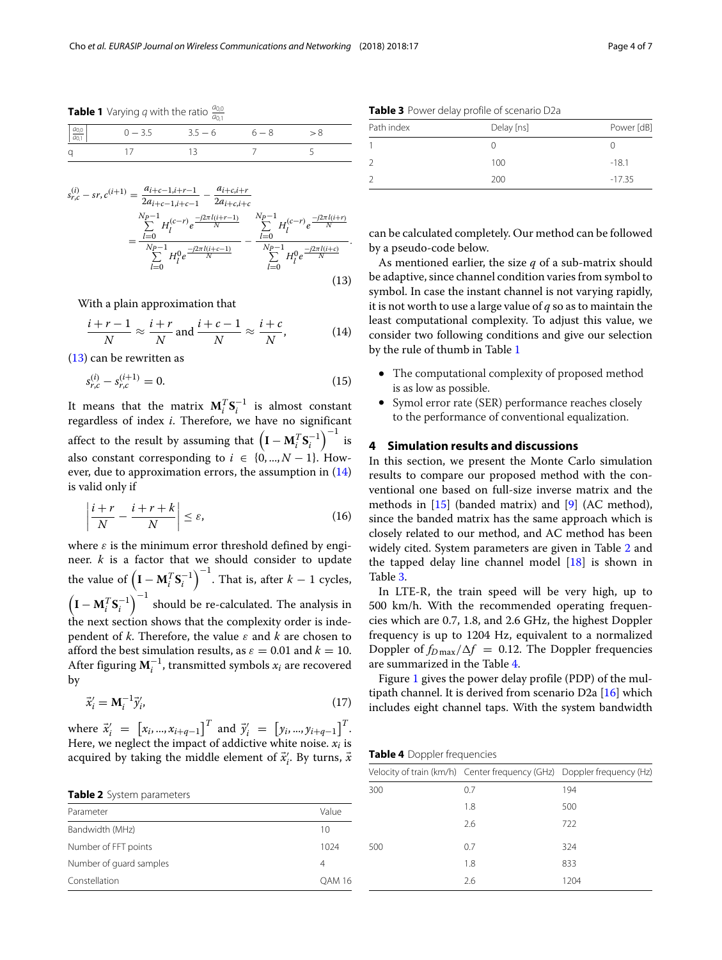<span id="page-3-2"></span>**Table 1** Varying  $q$  with the ratio  $\frac{a_{0,0}}{a_{0,1}}$ 

|                                          | $-0.1$              |         |  |
|------------------------------------------|---------------------|---------|--|
| $\left  \frac{a_{0,0}}{a_{0,1}} \right $ | $0 - 3.5$ $3.5 - 6$ | $6 - 8$ |  |
| a                                        |                     |         |  |
|                                          |                     |         |  |

$$
\begin{split} \frac{E_{r,c}}{E_{r,c}} - sr, c^{(i+1)} &= \frac{a_{i+c-1,i+r-1}}{2a_{i+c-1,i+c-1}} - \frac{a_{i+c,i+r}}{2a_{i+c,i+c}}\\ &= \frac{\sum\limits_{l=0}^{N_P-1} H_l^{(c-r)} e^{\frac{-j2\pi l(i+r-1)}{N}}}{\sum\limits_{l=0}^{N_P-1} H_l^0 e^{\frac{-j2\pi l(i+c-1)}{N}}} - \frac{\sum\limits_{l=0}^{N_P-1} H_l^{(c-r)} e^{\frac{-j2\pi l(i+r)}{N}}}{\sum\limits_{l=0}^{N_P-1} H_l^0 e^{\frac{-j2\pi l(i+c)}{N}}} \,. \end{split} \tag{13}
$$

With a plain approximation that

$$
\frac{i+r-1}{N} \approx \frac{i+r}{N} \text{ and } \frac{i+c-1}{N} \approx \frac{i+c}{N}, \qquad (14)
$$

[\(13\)](#page-2-5) can be rewritten as

*s*

$$
s_{r,c}^{(i)} - s_{r,c}^{(i+1)} = 0.
$$
\n(15)

It means that the matrix  $M_i^T S_i^{-1}$  is almost constant regardless of index *i*. Therefore, we have no significant affect to the result by assuming that  $\left(\mathbf{I} - \mathbf{M}_i^T \mathbf{S}_i^{-1}\right)^{-1}$  is also constant corresponding to  $i \in \{0, ..., N-1\}$ . However, due to approximation errors, the assumption in  $(14)$ is valid only if

$$
\left|\frac{i+r}{N} - \frac{i+r+k}{N}\right| \le \varepsilon,\tag{16}
$$

where  $\varepsilon$  is the minimum error threshold defined by engineer. *k* is a factor that we should consider to update the value of  $\left(\mathbf{I} - \mathbf{M}_i^T \mathbf{S}_i^{-1}\right)^{-1}$ . That is, after  $k-1$  cycles,  $\left(\mathbf{I} - \mathbf{M}_i^T \mathbf{S}_i^{-1}\right)^{-1}$  should be re-calculated. The analysis in the next section shows that the complexity order is independent of *k*. Therefore, the value  $\varepsilon$  and  $k$  are chosen to afford the best simulation results, as  $\varepsilon = 0.01$  and  $k = 10$ . After figuring  $M_i^{-1}$ , transmitted symbols  $x_i$  are recovered by

$$
\vec{x}_i' = \mathbf{M}_i^{-1} \vec{y}_i',\tag{17}
$$

where  $\vec{x}'_i = [x_i, ..., x_{i+q-1}]^T$  and  $\vec{y}'_i = [y_i, ..., y_{i+q-1}]^T$ . Here, we neglect the impact of addictive white noise.  $x_i$  is acquired by taking the middle element of  $\vec{x}'_i$ . By turns,  $\vec{x}$ 

<span id="page-3-3"></span>**Table 2** System parameters

| .                       |                   |
|-------------------------|-------------------|
| Parameter               | Value             |
| Bandwidth (MHz)         | 10                |
| Number of FFT points    | 1024              |
| Number of quard samples | 4                 |
| Constellation           | OAM <sub>16</sub> |

<span id="page-3-4"></span>**Table 3** Power delay profile of scenario D2a

| Path index | Delay [ns] | Power [dB] |
|------------|------------|------------|
|            |            |            |
| 2          | 100        | $-18.1$    |
| 2          | 200        | $-17.35$   |

can be calculated completely. Our method can be followed by a pseudo-code below.

<span id="page-3-1"></span>As mentioned earlier, the size *q* of a sub-matrix should be adaptive, since channel condition varies from symbol to symbol. In case the instant channel is not varying rapidly, it is not worth to use a large value of *q* so as to maintain the least computational complexity. To adjust this value, we consider two following conditions and give our selection by the rule of thumb in Table [1](#page-3-2)

- The computational complexity of proposed method is as low as possible.
- Symol error rate (SER) performance reaches closely to the performance of conventional equalization.

#### <span id="page-3-0"></span>**4 Simulation results and discussions**

In this section, we present the Monte Carlo simulation results to compare our proposed method with the conventional one based on full-size inverse matrix and the methods in  $[15]$  (banded matrix) and  $[9]$  (AC method), since the banded matrix has the same approach which is closely related to our method, and AC method has been widely cited. System parameters are given in Table [2](#page-3-3) and the tapped delay line channel model  $[18]$  is shown in Table [3.](#page-3-4)

In LTE-R, the train speed will be very high, up to 500 km/h. With the recommended operating frequencies which are 0.7, 1.8, and 2.6 GHz, the highest Doppler frequency is up to 1204 Hz, equivalent to a normalized Doppler of  $f_{D\text{max}}/\Delta f = 0.12$ . The Doppler frequencies are summarized in the Table [4.](#page-3-5)

Figure [1](#page-4-0) gives the power delay profile (PDP) of the multipath channel. It is derived from scenario D2a [\[16\]](#page-6-8) which includes eight channel taps. With the system bandwidth

<span id="page-3-5"></span>**Table 4** Doppler frequencies

|     | Velocity of train (km/h) Center frequency (GHz) Doppler frequency (Hz) |      |
|-----|------------------------------------------------------------------------|------|
| 300 | 0.7                                                                    | 194  |
|     | 1.8                                                                    | 500  |
|     | 2.6                                                                    | 722  |
| 500 | 0.7                                                                    | 324  |
|     | 1.8                                                                    | 833  |
|     | 2.6                                                                    | 1204 |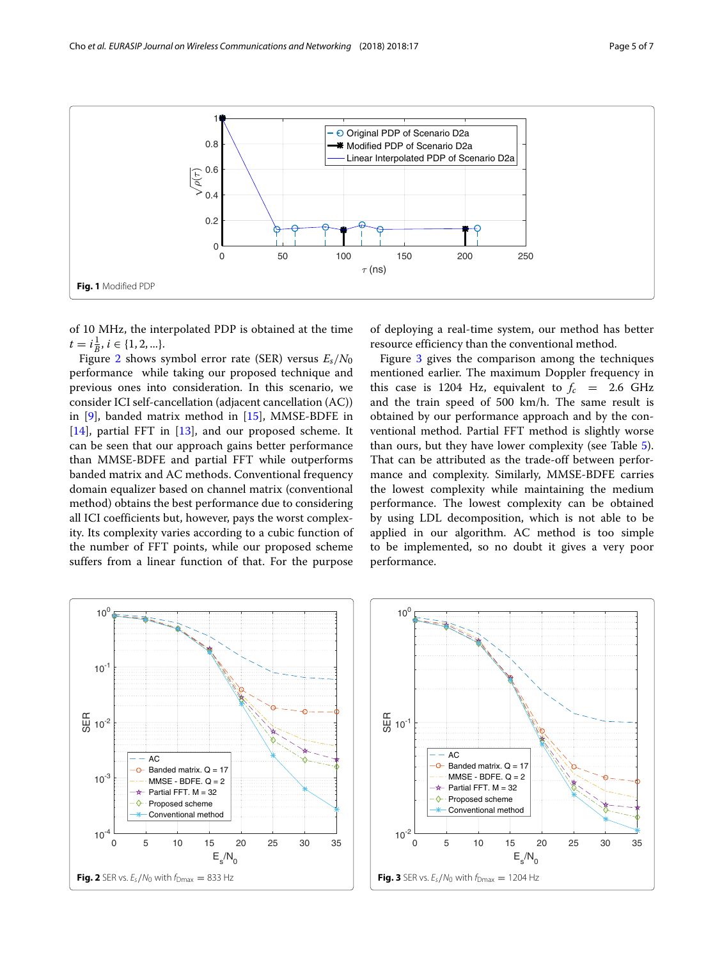

<span id="page-4-0"></span>of 10 MHz, the interpolated PDP is obtained at the time  $t = i\frac{1}{B}, i \in \{1, 2, ...\}.$ 

Figure [2](#page-4-1) shows symbol error rate (SER) versus *Es*/*N*<sup>0</sup> performance while taking our proposed technique and previous ones into consideration. In this scenario, we consider ICI self-cancellation (adjacent cancellation (AC)) in  $[9]$ , banded matrix method in  $[15]$ , MMSE-BDFE in [\[14\]](#page-6-6), partial FFT in [\[13\]](#page-6-5), and our proposed scheme. It can be seen that our approach gains better performance than MMSE-BDFE and partial FFT while outperforms banded matrix and AC methods. Conventional frequency domain equalizer based on channel matrix (conventional method) obtains the best performance due to considering all ICI coefficients but, however, pays the worst complexity. Its complexity varies according to a cubic function of the number of FFT points, while our proposed scheme suffers from a linear function of that. For the purpose of deploying a real-time system, our method has better resource efficiency than the conventional method.

Figure [3](#page-4-2) gives the comparison among the techniques mentioned earlier. The maximum Doppler frequency in this case is 1204 Hz, equivalent to  $f_c$  = 2.6 GHz and the train speed of 500 km/h. The same result is obtained by our performance approach and by the conventional method. Partial FFT method is slightly worse than ours, but they have lower complexity (see Table [5\)](#page-5-5). That can be attributed as the trade-off between performance and complexity. Similarly, MMSE-BDFE carries the lowest complexity while maintaining the medium performance. The lowest complexity can be obtained by using LDL decomposition, which is not able to be applied in our algorithm. AC method is too simple to be implemented, so no doubt it gives a very poor performance.

<span id="page-4-1"></span>

<span id="page-4-2"></span>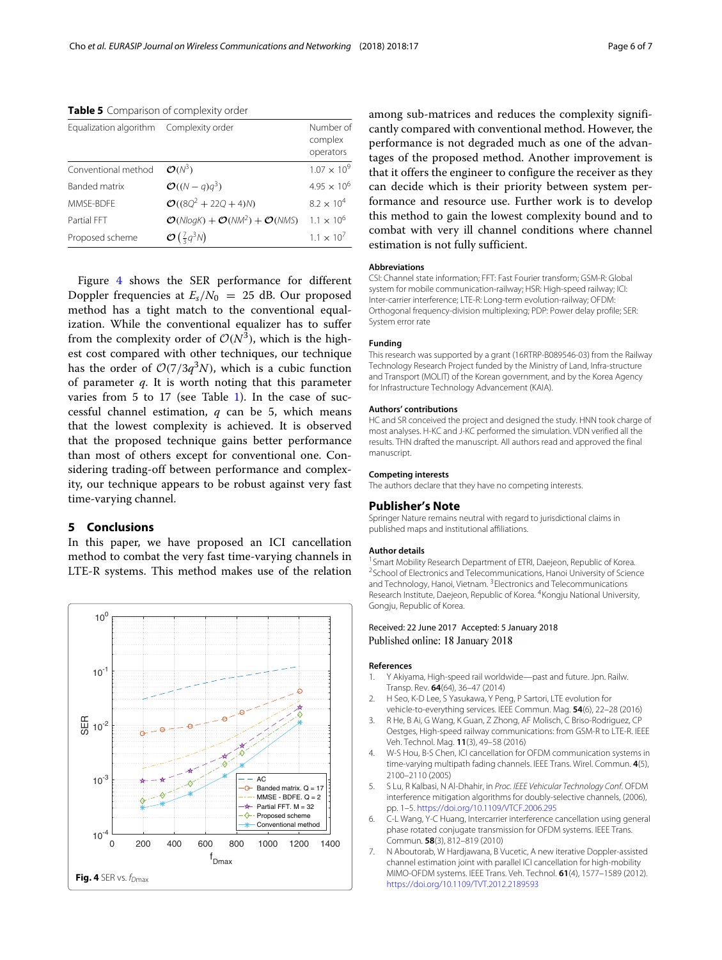<span id="page-5-5"></span>**Table 5** Comparison of complexity order

| Equalization algorithm Complexity order |                                                             | Number of<br>complex<br>operators |
|-----------------------------------------|-------------------------------------------------------------|-----------------------------------|
| Conventional method                     | $\mathcal{O}(N^3)$                                          | $1.07 \times 10^{9}$              |
| Banded matrix                           | $\mathcal{O}((N-q)q^3)$                                     | $4.95 \times 10^{6}$              |
| MMSF-BDFF                               | $\mathcal{O}((8Q^2 + 22Q + 4)N)$                            | $8.2 \times 10^{4}$               |
| Partial FFT                             | $\mathcal{O}(NlogK) + \mathcal{O}(NM^2) + \mathcal{O}(NMS)$ | $1.1 \times 10^{6}$               |
| Proposed scheme                         | $\mathcal{O}\left(\frac{7}{3}q^3N\right)$                   | $1.1 \times 10^{7}$               |
|                                         |                                                             |                                   |

Figure [4](#page-5-6) shows the SER performance for different Doppler frequencies at  $E_s/N_0 = 25$  dB. Our proposed method has a tight match to the conventional equalization. While the conventional equalizer has to suffer from the complexity order of  $\mathcal{O}(N^3)$ , which is the highest cost compared with other techniques, our technique has the order of  $O(7/3q^3N)$ , which is a cubic function of parameter *q*. It is worth noting that this parameter varies from 5 to 17 (see Table [1\)](#page-3-2). In the case of successful channel estimation, *q* can be 5, which means that the lowest complexity is achieved. It is observed that the proposed technique gains better performance than most of others except for conventional one. Considering trading-off between performance and complexity, our technique appears to be robust against very fast time-varying channel.

#### **5 Conclusions**

In this paper, we have proposed an ICI cancellation method to combat the very fast time-varying channels in LTE-R systems. This method makes use of the relation

<span id="page-5-6"></span>

among sub-matrices and reduces the complexity significantly compared with conventional method. However, the performance is not degraded much as one of the advantages of the proposed method. Another improvement is that it offers the engineer to configure the receiver as they can decide which is their priority between system performance and resource use. Further work is to develop this method to gain the lowest complexity bound and to combat with very ill channel conditions where channel estimation is not fully sufficient.

#### **Abbreviations**

CSI: Channel state information; FFT: Fast Fourier transform; GSM-R: Global system for mobile communication-railway; HSR: High-speed railway; ICI: Inter-carrier interference; LTE-R: Long-term evolution-railway; OFDM: Orthogonal frequency-division multiplexing; PDP: Power delay profile; SER: System error rate

#### **Funding**

This research was supported by a grant (16RTRP-B089546-03) from the Railway Technology Research Project funded by the Ministry of Land, Infra-structure and Transport (MOLIT) of the Korean government, and by the Korea Agency for Infrastructure Technology Advancement (KAIA).

#### **Authors' contributions**

HC and SR conceived the project and designed the study. HNN took charge of most analyses. H-KC and J-KC performed the simulation. VDN verified all the results. THN drafted the manuscript. All authors read and approved the final manuscript.

#### **Competing interests**

The authors declare that they have no competing interests.

#### **Publisher's Note**

Springer Nature remains neutral with regard to jurisdictional claims in published maps and institutional affiliations.

#### **Author details**

<sup>1</sup> Smart Mobility Research Department of ETRI, Daejeon, Republic of Korea. <sup>2</sup>School of Electronics and Telecommunications, Hanoi University of Science and Technology, Hanoi, Vietnam. 3Electronics and Telecommunications Research Institute, Daejeon, Republic of Korea. 4Kongju National University, Gongiu, Republic of Korea.

#### Received: 22 June 2017 Accepted: 5 January 2018 Published online: 18 January 2018

#### **References**

- <span id="page-5-0"></span>1. Y Akiyama, High-speed rail worldwide—past and future. Jpn. Railw. Transp. Rev. **64**(64), 36–47 (2014)
- <span id="page-5-1"></span>2. H Seo, K-D Lee, S Yasukawa, Y Peng, P Sartori, LTE evolution for vehicle-to-everything services. IEEE Commun. Mag. **54**(6), 22–28 (2016)
- <span id="page-5-2"></span>3. R He, B Ai, G Wang, K Guan, Z Zhong, AF Molisch, C Briso-Rodriguez, CP Oestges, High-speed railway communications: from GSM-R to LTE-R. IEEE Veh. Technol. Mag. **11**(3), 49–58 (2016)
- <span id="page-5-3"></span>4. W-S Hou, B-S Chen, ICI cancellation for OFDM communication systems in time-varying multipath fading channels. IEEE Trans. Wirel. Commun. **4**(5), 2100–2110 (2005)
- 5. S Lu, R Kalbasi, N Al-Dhahir, in Proc. IEEE Vehicular Technology Conf. OFDM interference mitigation algorithms for doubly-selective channels, (2006), pp. 1–5. <https://doi.org/10.1109/VTCF.2006.295>
- 6. C-L Wang, Y-C Huang, Intercarrier interference cancellation using general phase rotated conjugate transmission for OFDM systems. IEEE Trans. Commun. **58**(3), 812–819 (2010)
- <span id="page-5-4"></span>7. N Aboutorab, W Hardjawana, B Vucetic, A new iterative Doppler-assisted channel estimation joint with parallel ICI cancellation for high-mobility MIMO-OFDM systems. IEEE Trans. Veh. Technol. **61**(4), 1577–1589 (2012). <https://doi.org/10.1109/TVT.2012.2189593>